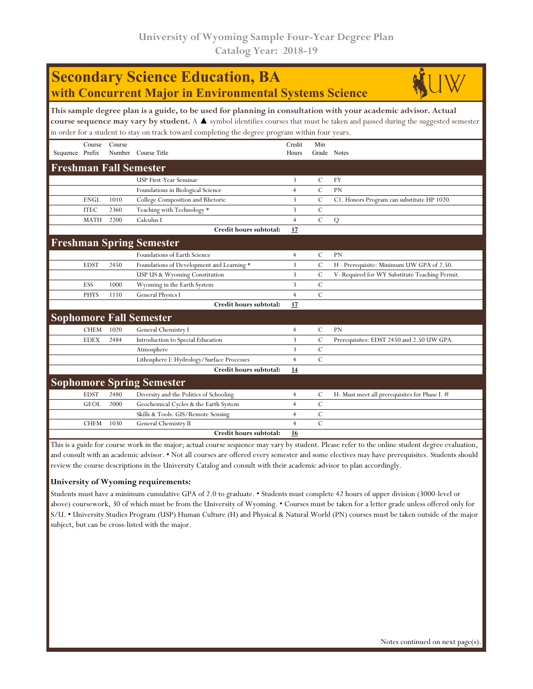## **Secondary Science Education, BA with Concurrent Major in Environmental Systems Science**



| This sample degree plan is a guide, to be used for planning in consultation with your academic advisor. Actual<br>course sequence may vary by student. A $\blacktriangle$ symbol identifies courses that must be taken and passed during the suggested semester<br>in order for a student to stay on track toward completing the degree program within four years. |             |                  |                                            |                 |                    |                                                |  |  |  |
|--------------------------------------------------------------------------------------------------------------------------------------------------------------------------------------------------------------------------------------------------------------------------------------------------------------------------------------------------------------------|-------------|------------------|--------------------------------------------|-----------------|--------------------|------------------------------------------------|--|--|--|
| Sequence Prefix                                                                                                                                                                                                                                                                                                                                                    | Course      | Course<br>Number | Course Title                               | Credit<br>Hours | Min<br>Grade Notes |                                                |  |  |  |
| <b>Freshman Fall Semester</b>                                                                                                                                                                                                                                                                                                                                      |             |                  |                                            |                 |                    |                                                |  |  |  |
|                                                                                                                                                                                                                                                                                                                                                                    |             |                  | <b>USP First-Year Seminar</b>              | 3               | $\cal C$           | <b>FY</b>                                      |  |  |  |
|                                                                                                                                                                                                                                                                                                                                                                    |             |                  | Foundations in Biological Science          | $\overline{4}$  | $\mathcal{C}$      | PN                                             |  |  |  |
|                                                                                                                                                                                                                                                                                                                                                                    | ENGL        | 1010             | College Composition and Rhetoric           | 3               | С                  | C1. Honors Program can substitute HP 1020.     |  |  |  |
|                                                                                                                                                                                                                                                                                                                                                                    | <b>ITEC</b> | 2360             | Teaching with Technology *                 | 3               | $\mathcal{C}$      |                                                |  |  |  |
|                                                                                                                                                                                                                                                                                                                                                                    | <b>MATH</b> | 2200             | Calculus I                                 | $\overline{4}$  | $\overline{C}$     | Q                                              |  |  |  |
|                                                                                                                                                                                                                                                                                                                                                                    |             |                  | Credit hours subtotal:                     | 17              |                    |                                                |  |  |  |
|                                                                                                                                                                                                                                                                                                                                                                    |             |                  | <b>Freshman Spring Semester</b>            |                 |                    |                                                |  |  |  |
|                                                                                                                                                                                                                                                                                                                                                                    |             |                  | Foundations of Earth Science               | $\overline{4}$  | C                  | <b>PN</b>                                      |  |  |  |
|                                                                                                                                                                                                                                                                                                                                                                    | <b>EDST</b> | 2450             | Foundations of Development and Learning *  | 3               | $\mathcal{C}$      | H - Prerequisite: Minimum UW GPA of 2.50.      |  |  |  |
|                                                                                                                                                                                                                                                                                                                                                                    |             |                  | USP US & Wyoming Constitution              | 3               | $\overline{C}$     | V- Required for WY Substitute Teaching Permit. |  |  |  |
|                                                                                                                                                                                                                                                                                                                                                                    | ESS         | 1000             | Wyoming in the Earth System                | 3               | $\mathcal{C}$      |                                                |  |  |  |
|                                                                                                                                                                                                                                                                                                                                                                    | <b>PHYS</b> | 1110             | General Physics I                          | $\overline{4}$  | $\mathcal{C}$      |                                                |  |  |  |
|                                                                                                                                                                                                                                                                                                                                                                    |             |                  | Credit hours subtotal:                     | 17              |                    |                                                |  |  |  |
|                                                                                                                                                                                                                                                                                                                                                                    |             |                  | <b>Sophomore Fall Semester</b>             |                 |                    |                                                |  |  |  |
|                                                                                                                                                                                                                                                                                                                                                                    | <b>CHEM</b> | 1020             | General Chemistry I                        | $\overline{4}$  | $\mathcal{C}$      | PN                                             |  |  |  |
|                                                                                                                                                                                                                                                                                                                                                                    | <b>EDEX</b> | 2484             | Introduction to Special Education          | 3               | $\mathcal{C}$      | Prerequisites: EDST 2450 and 2.50 UW GPA.      |  |  |  |
|                                                                                                                                                                                                                                                                                                                                                                    |             |                  | Atmosphere                                 | 3               | $\mathcal{C}$      |                                                |  |  |  |
|                                                                                                                                                                                                                                                                                                                                                                    |             |                  | Lithosphere I: Hydrology/Surface Processes | $\overline{4}$  | $\overline{C}$     |                                                |  |  |  |
|                                                                                                                                                                                                                                                                                                                                                                    |             |                  | Credit hours subtotal:                     | 14              |                    |                                                |  |  |  |
|                                                                                                                                                                                                                                                                                                                                                                    |             |                  | <b>Sophomore Spring Semester</b>           |                 |                    |                                                |  |  |  |
|                                                                                                                                                                                                                                                                                                                                                                    | <b>EDST</b> | 2480             | Diversity and the Politics of Schooling    | $\overline{4}$  | C                  | H- Must meet all prerequisites for Phase I. #  |  |  |  |
|                                                                                                                                                                                                                                                                                                                                                                    | <b>GEOL</b> | 2000             | Geochemical Cycles & the Earth System      | $\overline{4}$  | С                  |                                                |  |  |  |
|                                                                                                                                                                                                                                                                                                                                                                    |             |                  | Skills & Tools: GIS/Remote Sensing         | $\overline{4}$  | $\mathcal{C}$      |                                                |  |  |  |
|                                                                                                                                                                                                                                                                                                                                                                    | <b>CHEM</b> | 1030             | General Chemistry II                       | $\overline{4}$  | $\mathcal{C}$      |                                                |  |  |  |
|                                                                                                                                                                                                                                                                                                                                                                    |             |                  | Credit hours subtotal:                     | 16              |                    |                                                |  |  |  |

This is a guide for course work in the major; actual course sequence may vary by student. Please refer to the online student degree evaluation, and consult with an academic advisor. • Not all courses are offered every semester and some electives may have prerequisites. Students should review the course descriptions in the University Catalog and consult with their academic advisor to plan accordingly.

## **University of Wyoming requirements:**

Students must have a minimum cumulative GPA of 2.0 to graduate. • Students must complete 42 hours of upper division (3000-level or above) coursework, 30 of which must be from the University of Wyoming. • Courses must be taken for a letter grade unless offered only for S/U. • University Studies Program (USP) Human Culture (H) and Physical & Natural World (PN) courses must be taken outside of the major subject, but can be cross-listed with the major.